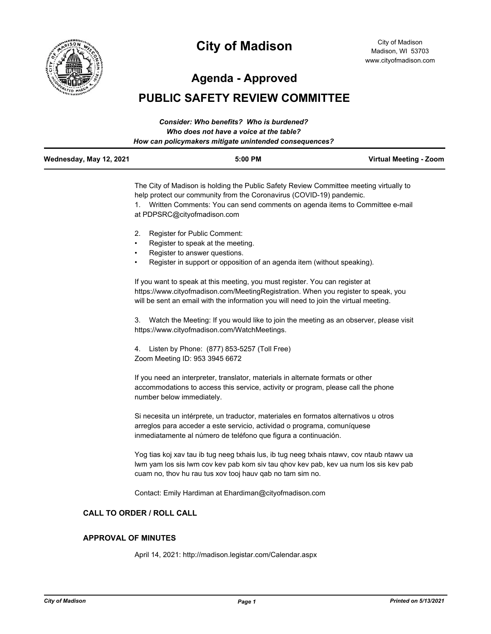

# **City of Madison**

City of Madison Madison, WI 53703 www.cityofmadison.com

**Agenda - Approved**

# **PUBLIC SAFETY REVIEW COMMITTEE**

|                         | Consider: Who benefits? Who is burdened?               |                        |
|-------------------------|--------------------------------------------------------|------------------------|
|                         | Who does not have a voice at the table?                |                        |
|                         | How can policymakers mitigate unintended consequences? |                        |
| Wednesday, May 12, 2021 | $5:00$ PM                                              | Virtual Meeting - Zoom |

The City of Madison is holding the Public Safety Review Committee meeting virtually to help protect our community from the Coronavirus (COVID-19) pandemic.

1. Written Comments: You can send comments on agenda items to Committee e-mail at PDPSRC@cityofmadison.com

- 2. Register for Public Comment:
- Register to speak at the meeting.
- Register to answer questions.
- Register in support or opposition of an agenda item (without speaking).

If you want to speak at this meeting, you must register. You can register at https://www.cityofmadison.com/MeetingRegistration. When you register to speak, you will be sent an email with the information you will need to join the virtual meeting.

3. Watch the Meeting: If you would like to join the meeting as an observer, please visit https://www.cityofmadison.com/WatchMeetings.

4. Listen by Phone: (877) 853-5257 (Toll Free) Zoom Meeting ID: 953 3945 6672

If you need an interpreter, translator, materials in alternate formats or other accommodations to access this service, activity or program, please call the phone number below immediately.

Si necesita un intérprete, un traductor, materiales en formatos alternativos u otros arreglos para acceder a este servicio, actividad o programa, comuníquese inmediatamente al número de teléfono que figura a continuación.

Yog tias koj xav tau ib tug neeg txhais lus, ib tug neeg txhais ntawv, cov ntaub ntawv ua lwm yam los sis lwm cov kev pab kom siv tau qhov kev pab, kev ua num los sis kev pab cuam no, thov hu rau tus xov tooj hauv qab no tam sim no.

Contact: Emily Hardiman at Ehardiman@cityofmadison.com

#### **CALL TO ORDER / ROLL CALL**

#### **APPROVAL OF MINUTES**

April 14, 2021: http://madison.legistar.com/Calendar.aspx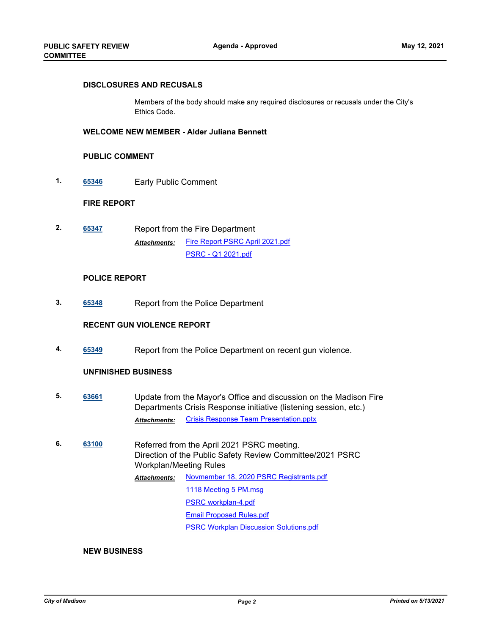#### **DISCLOSURES AND RECUSALS**

Members of the body should make any required disclosures or recusals under the City's Ethics Code.

#### **WELCOME NEW MEMBER - Alder Juliana Bennett**

#### **PUBLIC COMMENT**

**1. [65346](http://madison.legistar.com/gateway.aspx?m=l&id=/matter.aspx?key=76568)** Early Public Comment

#### **FIRE REPORT**

**2. [65347](http://madison.legistar.com/gateway.aspx?m=l&id=/matter.aspx?key=76569)** Report from the Fire Department [Fire Report PSRC April 2021.pdf](http://madison.legistar.com/gateway.aspx?M=F&ID=fe61a22f-98dc-4271-87c0-30a275399820.pdf) [PSRC - Q1 2021.pdf](http://madison.legistar.com/gateway.aspx?M=F&ID=d0445a11-1afa-4209-a1d1-369040cc12ce.pdf) *Attachments:*

#### **POLICE REPORT**

**3. [65348](http://madison.legistar.com/gateway.aspx?m=l&id=/matter.aspx?key=76570)** Report from the Police Department

#### **RECENT GUN VIOLENCE REPORT**

**4. [65349](http://madison.legistar.com/gateway.aspx?m=l&id=/matter.aspx?key=76571)** Report from the Police Department on recent gun violence.

#### **UNFINISHED BUSINESS**

- **5. [63661](http://madison.legistar.com/gateway.aspx?m=l&id=/matter.aspx?key=74130)** Update from the Mayor's Office and discussion on the Madison Fire Departments Crisis Response initiative (listening session, etc.) *Attachments:* [Crisis Response Team Presentation.pptx](http://madison.legistar.com/gateway.aspx?M=F&ID=b6be7732-3696-43d2-917c-42fe5cd84f41.pptx)
- **6. [63100](http://madison.legistar.com/gateway.aspx?m=l&id=/matter.aspx?key=73648)** Referred from the April 2021 PSRC meeting. Direction of the Public Safety Review Committee/2021 PSRC Workplan/Meeting Rules [Novmember 18, 2020 PSRC Registrants.pdf](http://madison.legistar.com/gateway.aspx?M=F&ID=785132e2-8db8-4d5e-be06-ec4d7451a84a.pdf) [1118 Meeting 5 PM.msg](http://madison.legistar.com/gateway.aspx?M=F&ID=1aa3ff68-2657-4981-8f8c-23efaef58d3d.msg) [PSRC workplan-4.pdf](http://madison.legistar.com/gateway.aspx?M=F&ID=388fa0b8-3426-4ee0-8a01-0e7bea32d9d2.pdf) [Email Proposed Rules.pdf](http://madison.legistar.com/gateway.aspx?M=F&ID=c99d1b0f-e2df-4e95-8ae1-8e93192b7ae7.pdf) [PSRC Workplan Discussion Solutions.pdf](http://madison.legistar.com/gateway.aspx?M=F&ID=b4768d9f-418d-4ed3-a6c4-e5ada5ea455e.pdf) *Attachments:*

#### **NEW BUSINESS**